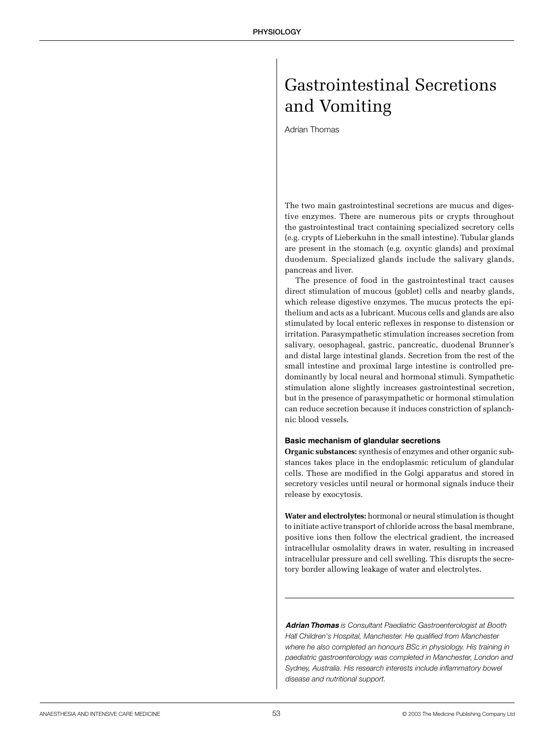# Gastrointestinal Secretions and Vomiting

Adrian Thomas

The two main gastrointestinal secretions are mucus and digestive enzymes. There are numerous pits or crypts throughout the gastrointestinal tract containing specialized secretory cells (e.g. crypts of Lieberkuhn in the small intestine). Tubular glands are present in the stomach (e.g. oxyntic glands) and proximal duodenum. Specialized glands include the salivary glands, pancreas and liver.

 The presence of food in the gastrointestinal tract causes direct stimulation of mucous (goblet) cells and nearby glands, which release digestive enzymes. The mucus protects the epithelium and acts as a lubricant. Mucous cells and glands are also stimulated by local enteric reflexes in response to distension or irritation. Parasympathetic stimulation increases secretion from salivary, oesophageal, gastric, pancreatic, duodenal Brunner's and distal large intestinal glands. Secretion from the rest of the small intestine and proximal large intestine is controlled predominantly by local neural and hormonal stimuli. Sympathetic stimulation alone slightly increases gastrointestinal secretion, but in the presence of parasympathetic or hormonal stimulation can reduce secretion because it induces constriction of splanchnic blood vessels.

# **Basic mechanism of glandular secretions**

**Organic substances:** synthesis of enzymes and other organic substances takes place in the endoplasmic reticulum of glandular cells. These are modified in the Golgi apparatus and stored in secretory vesicles until neural or hormonal signals induce their release by exocytosis.

**Water and electrolytes:** hormonal or neural stimulation is thought to initiate active transport of chloride across the basal membrane, positive ions then follow the electrical gradient, the increased intracellular osmolality draws in water, resulting in increased intracellular pressure and cell swelling. This disrupts the secretory border allowing leakage of water and electrolytes.

**Adrian Thomas** *is Consultant Paediatric Gastroenterologist at Booth Hall Children's Hospital, Manchester. He qualified from Manchester where he also completed an honours BSc in physiology. His training in paediatric gastroenterology was completed in Manchester, London and Sydney, Australia. His research interests include inflammatory bowel disease and nutritional support.*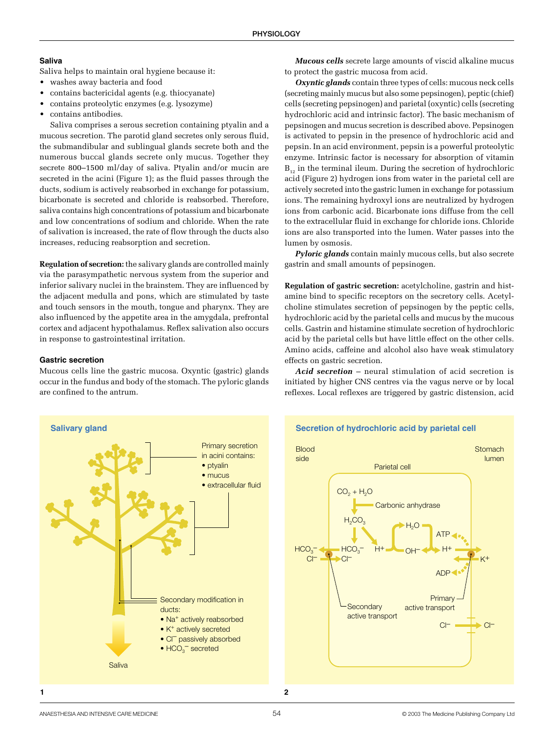# **Saliva**

- Saliva helps to maintain oral hygiene because it:
- washes away bacteria and food
- contains bactericidal agents (e.g. thiocyanate)
- contains proteolytic enzymes (e.g. lysozyme)
- contains antibodies.

 Saliva comprises a serous secretion containing ptyalin and a mucous secretion. The parotid gland secretes only serous fluid, the submandibular and sublingual glands secrete both and the numerous buccal glands secrete only mucus. Together they secrete 800–1500 ml/day of saliva. Ptyalin and/or mucin are secreted in the acini (Figure 1); as the fluid passes through the ducts, sodium is actively reabsorbed in exchange for potassium, bicarbonate is secreted and chloride is reabsorbed. Therefore, saliva contains high concentrations of potassium and bicarbonate and low concentrations of sodium and chloride. When the rate of salivation is increased, the rate of flow through the ducts also increases, reducing reabsorption and secretion.

**Regulation of secretion:** the salivary glands are controlled mainly via the parasympathetic nervous system from the superior and inferior salivary nuclei in the brainstem. They are influenced by the adjacent medulla and pons, which are stimulated by taste and touch sensors in the mouth, tongue and pharynx. They are also influenced by the appetite area in the amygdala, prefrontal cortex and adjacent hypothalamus. Reflex salivation also occurs in response to gastrointestinal irritation.

# **Gastric secretion**

Mucous cells line the gastric mucosa. Oxyntic (gastric) glands occur in the fundus and body of the stomach. The pyloric glands are confined to the antrum.



*Mucous cells* secrete large amounts of viscid alkaline mucus to protect the gastric mucosa from acid.

*Oxyntic glands* contain three types of cells: mucous neck cells (secreting mainly mucus but also some pepsinogen), peptic (chief) cells (secreting pepsinogen) and parietal (oxyntic) cells (secreting hydrochloric acid and intrinsic factor). The basic mechanism of pepsinogen and mucus secretion is described above. Pepsinogen is activated to pepsin in the presence of hydrochloric acid and pepsin. In an acid environment, pepsin is a powerful proteolytic enzyme. Intrinsic factor is necessary for absorption of vitamin  $B_{12}$  in the terminal ileum. During the secretion of hydrochloric acid (Figure 2) hydrogen ions from water in the parietal cell are actively secreted into the gastric lumen in exchange for potassium ions. The remaining hydroxyl ions are neutralized by hydrogen ions from carbonic acid. Bicarbonate ions diffuse from the cell to the extracellular fluid in exchange for chloride ions. Chloride ions are also transported into the lumen. Water passes into the lumen by osmosis.

*Pyloric glands* contain mainly mucous cells, but also secrete gastrin and small amounts of pepsinogen.

**Regulation of gastric secretion:** acetylcholine, gastrin and histamine bind to specific receptors on the secretory cells. Acetylcholine stimulates secretion of pepsinogen by the peptic cells, hydrochloric acid by the parietal cells and mucus by the mucous cells. Gastrin and histamine stimulate secretion of hydrochloric acid by the parietal cells but have little effect on the other cells. Amino acids, caffeine and alcohol also have weak stimulatory effects on gastric secretion.

 *Acid secretion* – neural stimulation of acid secretion is initiated by higher CNS centres via the vagus nerve or by local reflexes. Local reflexes are triggered by gastric distension, acid



# **Secretion of hydrochloric acid by parietal cell**